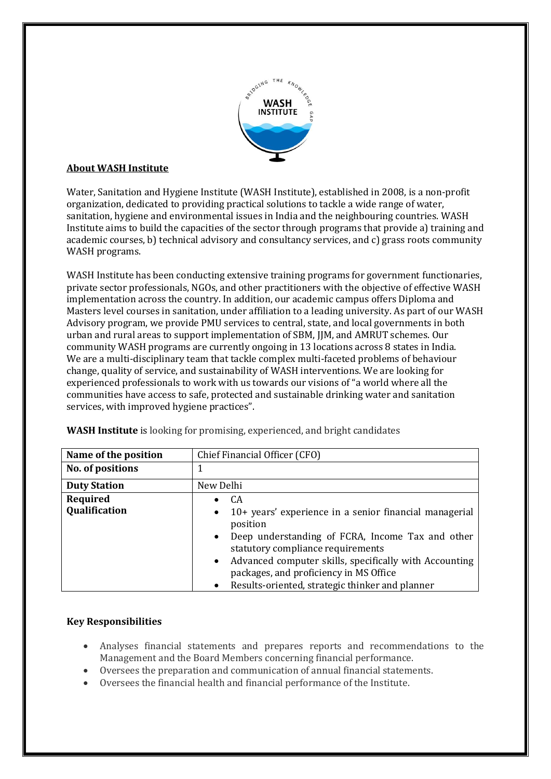

# **About WASH Institute**

Water, Sanitation and Hygiene Institute (WASH Institute), established in 2008, is a non-profit organization, dedicated to providing practical solutions to tackle a wide range of water, sanitation, hygiene and environmental issues in India and the neighbouring countries. WASH Institute aims to build the capacities of the sector through programs that provide a) training and academic courses, b) technical advisory and consultancy services, and c) grass roots community WASH programs.

WASH Institute has been conducting extensive training programs for government functionaries, private sector professionals, NGOs, and other practitioners with the objective of effective WASH implementation across the country. In addition, our academic campus offers Diploma and Masters level courses in sanitation, under affiliation to a leading university. As part of our WASH Advisory program, we provide PMU services to central, state, and local governments in both urban and rural areas to supportimplementation of SBM, JJM, and AMRUT schemes. Our community WASH programs are currently ongoing in 13 locations across 8 states in India. We are a multi-disciplinary team that tackle complex multi-faceted problems of behaviour change, quality of service, and sustainability of WASH interventions. We are looking for experienced professionals to work with us towards our visions of "a world where all the communities have access to safe, protected and sustainable drinking water and sanitation services, with improved hygiene practices".

| Name of the position      | Chief Financial Officer (CFO)                                                                                                                                                                                                                                                                                                                                    |
|---------------------------|------------------------------------------------------------------------------------------------------------------------------------------------------------------------------------------------------------------------------------------------------------------------------------------------------------------------------------------------------------------|
| No. of positions          |                                                                                                                                                                                                                                                                                                                                                                  |
| <b>Duty Station</b>       | New Delhi                                                                                                                                                                                                                                                                                                                                                        |
| Required<br>Qualification | CA.<br>10+ years' experience in a senior financial managerial<br>$\bullet$<br>position<br>Deep understanding of FCRA, Income Tax and other<br>$\bullet$<br>statutory compliance requirements<br>Advanced computer skills, specifically with Accounting<br>$\bullet$<br>packages, and proficiency in MS Office<br>Results-oriented, strategic thinker and planner |

**WASH Institute** is looking for promising, experienced, and bright candidates

## **Key Responsibilities**

- Analyses financial statements and prepares reports and recommendations to the Management and the Board Members concerning financial performance.
- Management and the Board Members concerning financial statements.<br>  $\bullet$  Oversees the financial health and financial performance of the Institute.
-